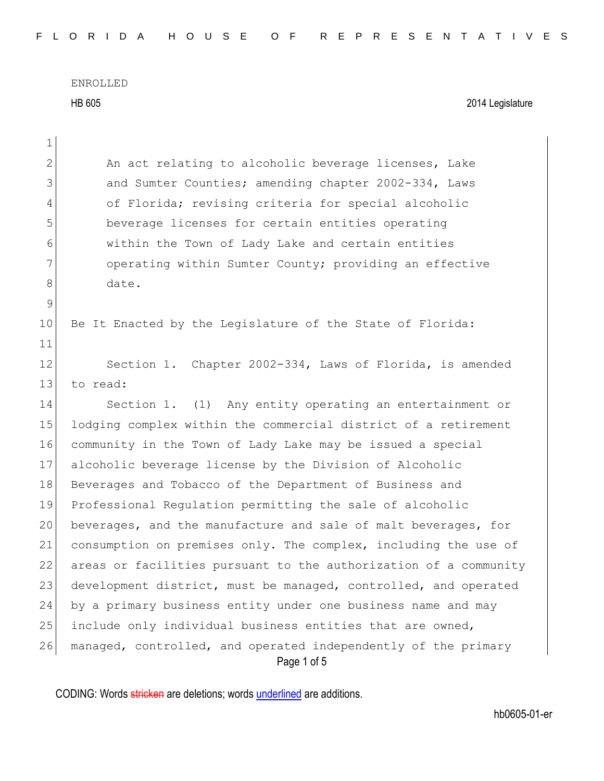HB 605 2014 Legislature

| 1              |                                                                               |
|----------------|-------------------------------------------------------------------------------|
| $\overline{2}$ | An act relating to alcoholic beverage licenses, Lake                          |
| 3              | and Sumter Counties; amending chapter 2002-334, Laws                          |
| 4              | of Florida; revising criteria for special alcoholic                           |
| 5              | beverage licenses for certain entities operating                              |
| 6              | within the Town of Lady Lake and certain entities                             |
| 7              | operating within Sumter County; providing an effective                        |
| 8              | date.                                                                         |
| 9              |                                                                               |
| 10             | Be It Enacted by the Legislature of the State of Florida:                     |
| 11             |                                                                               |
| 12             | Section 1. Chapter 2002-334, Laws of Florida, is amended                      |
| 13             | to read:                                                                      |
| 14             | Section 1. (1) Any entity operating an entertainment or                       |
| 15             | lodging complex within the commercial district of a retirement                |
| 16             | community in the Town of Lady Lake may be issued a special                    |
| 17             | alcoholic beverage license by the Division of Alcoholic                       |
| 18             | Beverages and Tobacco of the Department of Business and                       |
| 19             | Professional Regulation permitting the sale of alcoholic                      |
| 20             | beverages, and the manufacture and sale of malt beverages, for                |
| 21             | consumption on premises only. The complex, including the use of               |
| 22             | areas or facilities pursuant to the authorization of a community              |
| 23             | development district, must be managed, controlled, and operated               |
| 24             | by a primary business entity under one business name and may                  |
| 25             | include only individual business entities that are owned,                     |
| 26             | managed, controlled, and operated independently of the primary<br>Page 1 of 5 |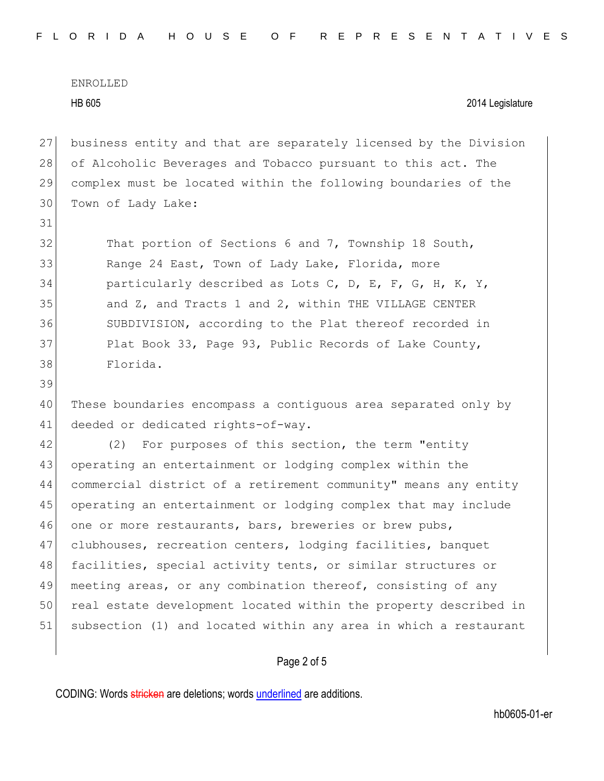31

39

## HB 605 2014 Legislature

 business entity and that are separately licensed by the Division 28 of Alcoholic Beverages and Tobacco pursuant to this act. The complex must be located within the following boundaries of the Town of Lady Lake:

32 That portion of Sections 6 and 7, Township 18 South, 33 Range 24 East, Town of Lady Lake, Florida, more 34 particularly described as Lots C, D, E, F, G, H, K, Y, 35 and Z, and Tracts 1 and 2, within THE VILLAGE CENTER 36 SUBDIVISION, according to the Plat thereof recorded in 37 Plat Book 33, Page 93, Public Records of Lake County, 38 Florida.

40 These boundaries encompass a contiguous area separated only by 41 deeded or dedicated rights-of-way.

42 (2) For purposes of this section, the term "entity 43 operating an entertainment or lodging complex within the 44 commercial district of a retirement community" means any entity 45 operating an entertainment or lodging complex that may include 46 one or more restaurants, bars, breweries or brew pubs, 47 clubhouses, recreation centers, lodging facilities, banquet 48 facilities, special activity tents, or similar structures or 49 meeting areas, or any combination thereof, consisting of any 50 real estate development located within the property described in 51 subsection (1) and located within any area in which a restaurant

# Page 2 of 5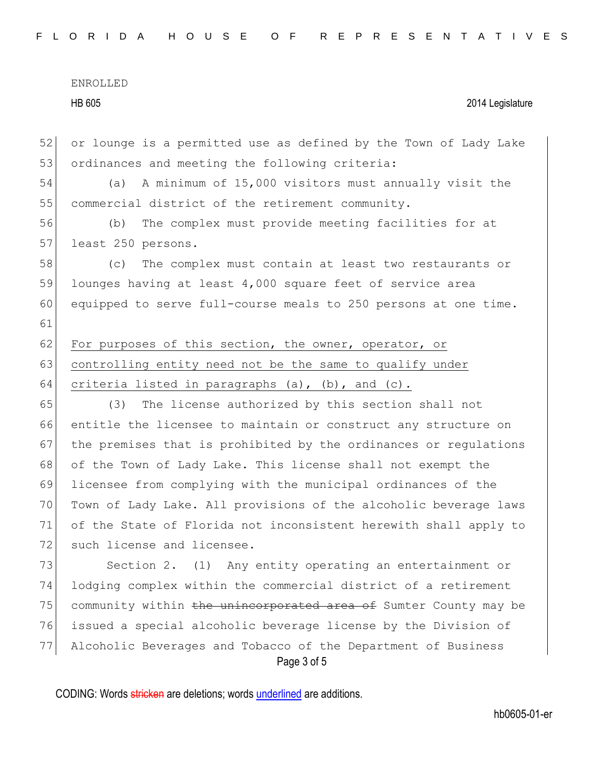### HB 605 2014 Legislature

52 or lounge is a permitted use as defined by the Town of Lady Lake 53 ordinances and meeting the following criteria: 54 (a) A minimum of 15,000 visitors must annually visit the 55 commercial district of the retirement community. 56 (b) The complex must provide meeting facilities for at 57 least 250 persons. 58 (c) The complex must contain at least two restaurants or 59 lounges having at least 4,000 square feet of service area 60 equipped to serve full-course meals to 250 persons at one time. 61 62 For purposes of this section, the owner, operator, or 63 controlling entity need not be the same to qualify under 64 criteria listed in paragraphs  $(a)$ ,  $(b)$ , and  $(c)$ . 65 (3) The license authorized by this section shall not 66 entitle the licensee to maintain or construct any structure on 67 the premises that is prohibited by the ordinances or regulations 68 of the Town of Lady Lake. This license shall not exempt the 69 licensee from complying with the municipal ordinances of the 70 Town of Lady Lake. All provisions of the alcoholic beverage laws 71 of the State of Florida not inconsistent herewith shall apply to 72 such license and licensee. 73 Section 2. (1) Any entity operating an entertainment or 74 lodging complex within the commercial district of a retirement 75 community within the unincorporated area of Sumter County may be 76 issued a special alcoholic beverage license by the Division of 77 Alcoholic Beverages and Tobacco of the Department of Business

Page 3 of 5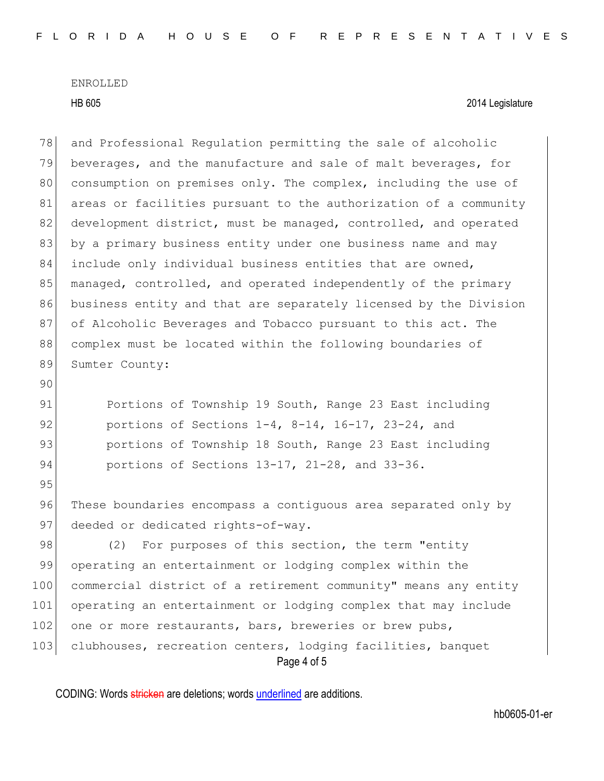HB 605 2014 Legislature

78 and Professional Regulation permitting the sale of alcoholic 79 beverages, and the manufacture and sale of malt beverages, for 80 consumption on premises only. The complex, including the use of 81 areas or facilities pursuant to the authorization of a community 82 development district, must be managed, controlled, and operated 83 by a primary business entity under one business name and may 84 include only individual business entities that are owned, 85 managed, controlled, and operated independently of the primary 86 business entity and that are separately licensed by the Division 87 of Alcoholic Beverages and Tobacco pursuant to this act. The 88 complex must be located within the following boundaries of 89 Sumter County: 90 91 Portions of Township 19 South, Range 23 East including

92 portions of Sections 1-4, 8-14, 16-17, 23-24, and 93 **portions of Township 18 South, Range 23 East including** 94 portions of Sections 13-17, 21-28, and 33-36.

95

96 These boundaries encompass a contiquous area separated only by 97 deeded or dedicated rights-of-way.

Page 4 of 5 98 (2) For purposes of this section, the term "entity 99 operating an entertainment or lodging complex within the 100 commercial district of a retirement community" means any entity 101 operating an entertainment or lodging complex that may include 102 one or more restaurants, bars, breweries or brew pubs, 103 clubhouses, recreation centers, lodging facilities, banquet